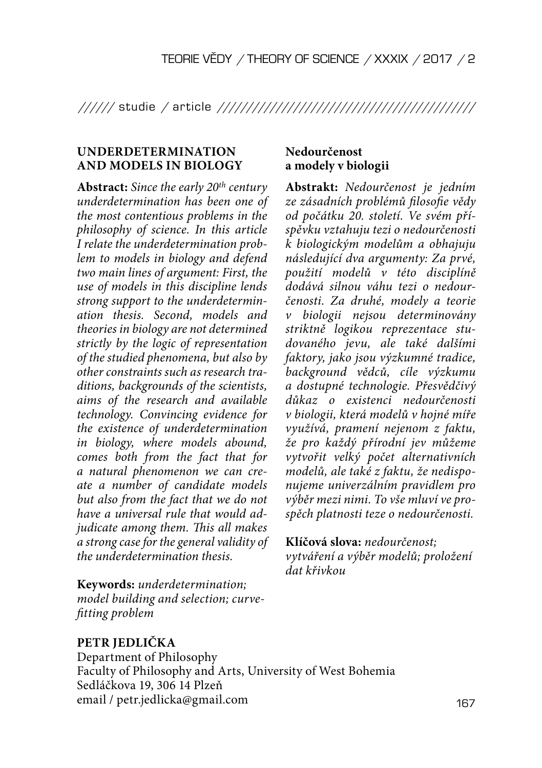////// studie / article ////////////////////////////////////////////

#### **UNDERDETERMINATION AND MODELS IN BIOLOGY**

**Abstract:** Since the early 20<sup>th</sup> century underdetermination has been one of the most contentious problems in the philosophy of science. In this article I relate the underdetermination problem to models in biology and defend two main lines of argument: First, the use of models in this discipline lends strong support to the underdetermination thesis. Second, models and theories in biology are not determined strictly by the logic of representation of the studied phenomena, but also by other constraints such as research traditions, backgrounds of the scientists, aims of the research and available technology. Convincing evidence for the existence of underdetermination in biology, where models abound, comes both from the fact that for a natural phenomenon we can create a number of candidate models but also from the fact that we do not have a universal rule that would adjudicate among them. This all makes a strong case for the general validity of the underdetermination thesis.

**Keywords:** underdetermination; model building and selection; curvefitting problem

## **Nedourčenost a modely v biologii**

**Abstrakt:** Nedourčenost je jedním ze zásadních problémů filosofie vědy od počátku 20. století. Ve svém příspěvku vztahuju tezi o nedourčenosti k biologickým modelům a obhajuju následující dva argumenty: Za prvé, použití modelů v této disciplíně dodává silnou váhu tezi o nedourčenosti. Za druhé, modely a teorie v biologii nejsou determinovány striktně logikou reprezentace studovaného jevu, ale také dalšími faktory, jako jsou výzkumné tradice, background vědců, cíle výzkumu a dostupné technologie. Přesvědčivý důkaz o existenci nedourčenosti v biologii, která modelů v hojné míře využívá, pramení nejenom z faktu, že pro každý přírodní jev můžeme vytvořit velký počet alternativních modelů, ale také z faktu, že nedisponujeme univerzálním pravidlem pro výběr mezi nimi. To vše mluví ve prospěch platnosti teze o nedourčenosti.

**Klíčová slova:** nedourčenost; vytváření a výběr modelů; proložení dat křivkou

# **PETR JEDLIČKA**

Department of Philosophy Faculty of Philosophy and Arts, University of West Bohemia Sedláčkova 19, 306 14 Plzeň email / petr.jedlicka@gmail.com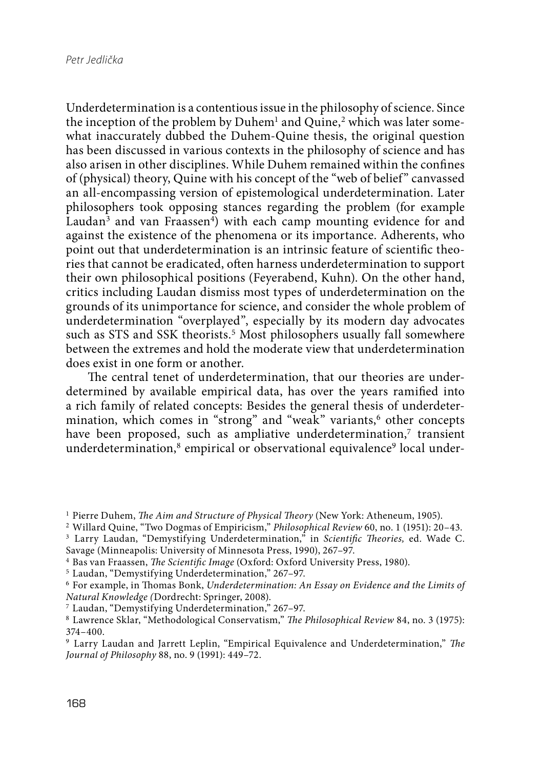Underdetermination is a contentious issue in the philosophy of science. Since the inception of the problem by Duhem<sup>1</sup> and Quine,<sup>2</sup> which was later somewhat inaccurately dubbed the Duhem-Quine thesis, the original question has been discussed in various contexts in the philosophy of science and has also arisen in other disciplines. While Duhem remained within the confines of (physical) theory, Quine with his concept of the "web of belief" canvassed an all-encompassing version of epistemological underdetermination. Later philosophers took opposing stances regarding the problem (for example Laudan<sup>3</sup> and van Fraassen<sup>4</sup>) with each camp mounting evidence for and against the existence of the phenomena or its importance. Adherents, who point out that underdetermination is an intrinsic feature of scientific theories that cannot be eradicated, often harness underdetermination to support their own philosophical positions (Feyerabend, Kuhn). On the other hand, critics including Laudan dismiss most types of underdetermination on the grounds of its unimportance for science, and consider the whole problem of underdetermination "overplayed", especially by its modern day advocates such as STS and SSK theorists. 5 Most philosophers usually fall somewhere between the extremes and hold the moderate view that underdetermination does exist in one form or another.

The central tenet of underdetermination, that our theories are underdetermined by available empirical data, has over the years ramified into a rich family of related concepts: Besides the general thesis of underdetermination, which comes in "strong" and "weak" variants, 6 other concepts have been proposed, such as ampliative underdetermination, $^7$  transient underdetermination, 8 empirical or observational equivalence9 local under-

<sup>1</sup> Pierre Duhem, *The Aim and Structure of Physical Theory* (New York: Atheneum, 1905).

- 2 Willard Quine, "Two Dogmas of Empiricism," Philosophical Review 60, no. 1 (1951): 20–43.
- <sup>3</sup> Larry Laudan, "Demystifying Underdetermination," in Scientific Theories, ed. Wade C. Savage (Minneapolis: University of Minnesota Press, 1990), 267–97.
- <sup>4</sup> Bas van Fraassen, The Scientific Image (Oxford: Oxford University Press, 1980).

5 Laudan, "Demystifying Underdetermination," 267–97.

 $6$  For example, in Thomas Bonk, Underdetermination: An Essay on Evidence and the Limits of Natural Knowledge (Dordrecht: Springer, 2008).

7 Laudan, "Demystifying Underdetermination," 267–97.

<sup>8</sup> Lawrence Sklar, "Methodological Conservatism," The Philosophical Review 84, no. 3 (1975): 374–400.

 $9$  Larry Laudan and Jarrett Leplin, "Empirical Equivalence and Underdetermination," The Journal of Philosophy 88, no. 9 (1991): 449–72.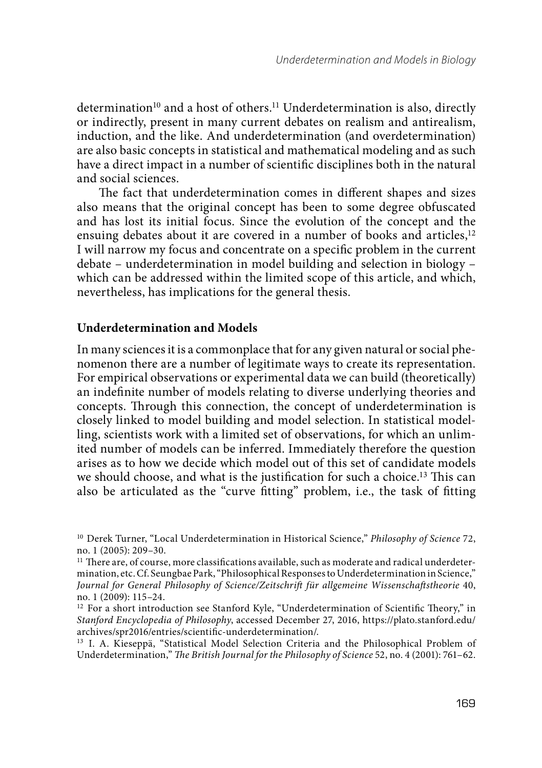determination<sup>10</sup> and a host of others.<sup>11</sup> Underdetermination is also, directly or indirectly, present in many current debates on realism and antirealism, induction, and the like. And underdetermination (and overdetermination) are also basic concepts in statistical and mathematical modeling and as such have a direct impact in a number of scientific disciplines both in the natural and social sciences.

The fact that underdetermination comes in different shapes and sizes also means that the original concept has been to some degree obfuscated and has lost its initial focus. Since the evolution of the concept and the ensuing debates about it are covered in a number of books and articles, 12 I will narrow my focus and concentrate on a specific problem in the current debate – underdetermination in model building and selection in biology – which can be addressed within the limited scope of this article, and which, nevertheless, has implications for the general thesis.

## **Underdetermination and Models**

In many sciences it is a commonplace that for any given natural or social phenomenon there are a number of legitimate ways to create its representation. For empirical observations or experimental data we can build (theoretically) an indefinite number of models relating to diverse underlying theories and concepts. Through this connection, the concept of underdetermination is closely linked to model building and model selection. In statistical modelling, scientists work with a limited set of observations, for which an unlimited number of models can be inferred. Immediately therefore the question arises as to how we decide which model out of this set of candidate models we should choose, and what is the justification for such a choice.<sup>13</sup> This can also be articulated as the "curve fitting" problem, i.e., the task of fitting

<sup>&</sup>lt;sup>10</sup> Derek Turner, "Local Underdetermination in Historical Science," Philosophy of Science 72, no. 1 (2005): 209–30.

<sup>&</sup>lt;sup>11</sup> There are, of course, more classifications available, such as moderate and radical underdetermination, etc. Cf. Seungbae Park, "Philosophical Responses to Underdetermination in Science," Journal for General Philosophy of Science/Zeitschrift für allgemeine Wissenschaftstheorie 40, no. 1 (2009): 115–24.

<sup>&</sup>lt;sup>12</sup> For a short introduction see Stanford Kyle, "Underdetermination of Scientific Theory," in Stanford Encyclopedia of Philosophy, accessed December 27, 2016, https://plato.stanford.edu/ archives/spr2016/entries/scientific-underdetermination/.

<sup>13</sup> I. A. Kieseppä, "Statistical Model Selection Criteria and the Philosophical Problem of Underdetermination," The British Journal for the Philosophy of Science 52, no. 4 (2001): 761-62.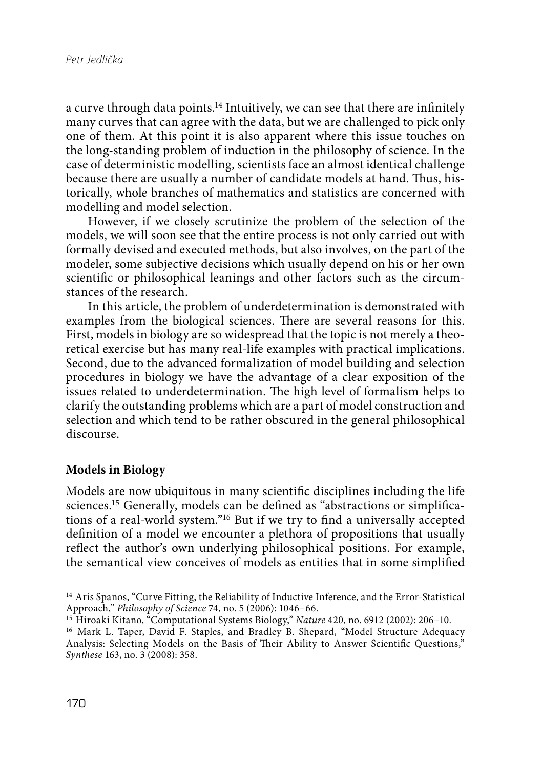a curve through data points.<sup>14</sup> Intuitively, we can see that there are infinitely many curves that can agree with the data, but we are challenged to pick only one of them. At this point it is also apparent where this issue touches on the long-standing problem of induction in the philosophy of science. In the case of deterministic modelling, scientists face an almost identical challenge because there are usually a number of candidate models at hand. Thus, historically, whole branches of mathematics and statistics are concerned with modelling and model selection.

However, if we closely scrutinize the problem of the selection of the models, we will soon see that the entire process is not only carried out with formally devised and executed methods, but also involves, on the part of the modeler, some subjective decisions which usually depend on his or her own scientific or philosophical leanings and other factors such as the circumstances of the research.

In this article, the problem of underdetermination is demonstrated with examples from the biological sciences. There are several reasons for this. First, models in biology are so widespread that the topic is not merely a theoretical exercise but has many real-life examples with practical implications. Second, due to the advanced formalization of model building and selection procedures in biology we have the advantage of a clear exposition of the issues related to underdetermination. The high level of formalism helps to clarify the outstanding problems which are a part of model construction and selection and which tend to be rather obscured in the general philosophical discourse.

#### **Models in Biology**

Models are now ubiquitous in many scientific disciplines including the life sciences.<sup>15</sup> Generally, models can be defined as "abstractions or simplifications of a real-world system."<sup>16</sup> But if we try to find a universally accepted definition of a model we encounter a plethora of propositions that usually reflect the author's own underlying philosophical positions. For example, the semantical view conceives of models as entities that in some simplified

<sup>14</sup> Aris Spanos, "Curve Fitting, the Reliability of Inductive Inference, and the Error‐Statistical Approach," Philosophy of Science 74, no. 5 (2006): 1046–66.

<sup>&</sup>lt;sup>15</sup> Hiroaki Kitano, "Computational Systems Biology," Nature 420, no. 6912 (2002): 206-10.

<sup>16</sup> Mark L. Taper, David F. Staples, and Bradley B. Shepard, "Model Structure Adequacy Analysis: Selecting Models on the Basis of Their Ability to Answer Scientific Questions," Synthese 163, no. 3 (2008): 358.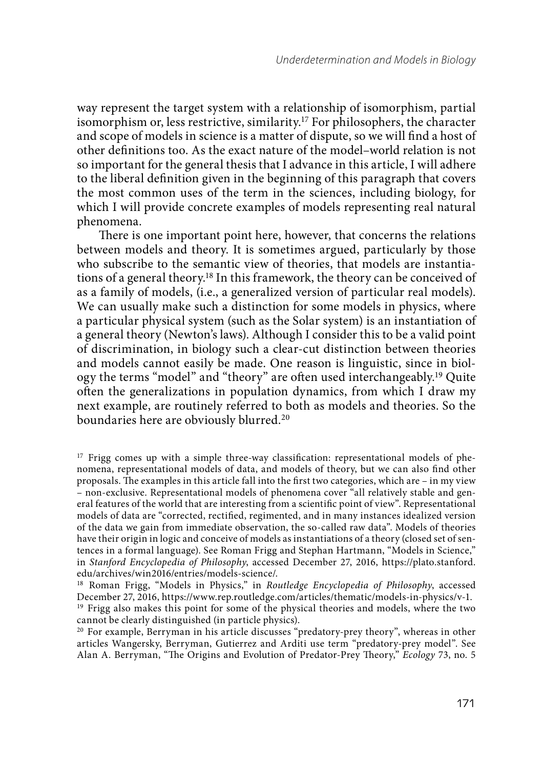way represent the target system with a relationship of isomorphism, partial isomorphism or, less restrictive, similarity.17 For philosophers, the character and scope of models in science is a matter of dispute, so we will find a host of other definitions too. As the exact nature of the model–world relation is not so important for the general thesis that I advance in this article, I will adhere to the liberal definition given in the beginning of this paragraph that covers the most common uses of the term in the sciences, including biology, for which I will provide concrete examples of models representing real natural phenomena.

There is one important point here, however, that concerns the relations between models and theory. It is sometimes argued, particularly by those who subscribe to the semantic view of theories, that models are instantiations of a general theory.18 In this framework, the theory can be conceived of as a family of models, (i.e., a generalized version of particular real models). We can usually make such a distinction for some models in physics, where a particular physical system (such as the Solar system) is an instantiation of a general theory (Newton's laws). Although I consider this to be a valid point of discrimination, in biology such a clear-cut distinction between theories and models cannot easily be made. One reason is linguistic, since in biology the terms "model" and "theory" are often used interchangeably.<sup>19</sup> Quite often the generalizations in population dynamics, from which I draw my next example, are routinely referred to both as models and theories. So the boundaries here are obviously blurred.20

 $17$  Frigg comes up with a simple three-way classification: representational models of phenomena, representational models of data, and models of theory, but we can also find other proposals. The examples in this article fall into the first two categories, which are – in my view – non-exclusive. Representational models of phenomena cover "all relatively stable and general features of the world that are interesting from a scientific point of view". Representational models of data are "corrected, rectified, regimented, and in many instances idealized version of the data we gain from immediate observation, the so-called raw data". Models of theories have their origin in logic and conceive of models as instantiations of a theory (closed set of sentences in a formal language). See Roman Frigg and Stephan Hartmann, "Models in Science," in Stanford Encyclopedia of Philosophy, accessed December 27, 2016, https://plato.stanford. edu/archives/win2016/entries/models-science/.

<sup>&</sup>lt;sup>18</sup> Roman Frigg, "Models in Physics," in Routledge Encyclopedia of Philosophy, accessed December 27, 2016, https://www.rep.routledge.com/articles/thematic/models-in-physics/v-1.

<sup>&</sup>lt;sup>19</sup> Frigg also makes this point for some of the physical theories and models, where the two cannot be clearly distinguished (in particle physics).

<sup>20</sup> For example, Berryman in his article discusses "predatory-prey theory", whereas in other articles Wangersky, Berryman, Gutierrez and Arditi use term "predatory-prey model". See Alan A. Berryman, "The Origins and Evolution of Predator-Prey Theory," Ecology 73, no. 5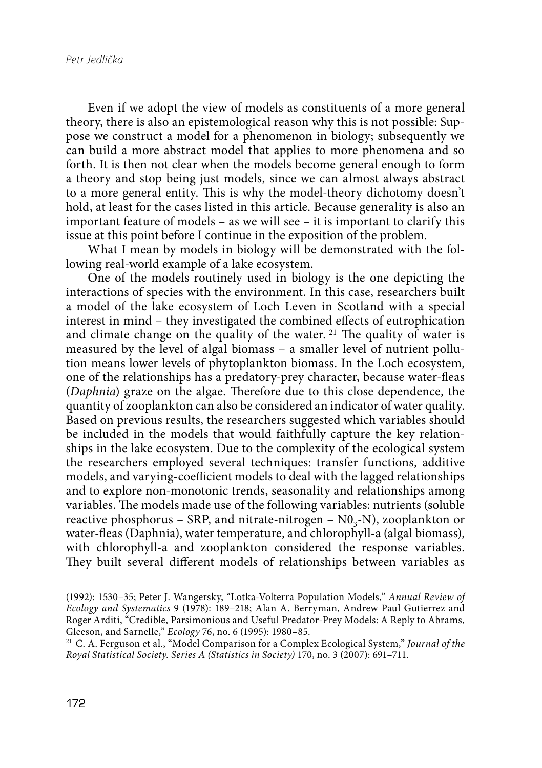Even if we adopt the view of models as constituents of a more general theory, there is also an epistemological reason why this is not possible: Suppose we construct a model for a phenomenon in biology; subsequently we can build a more abstract model that applies to more phenomena and so forth. It is then not clear when the models become general enough to form a theory and stop being just models, since we can almost always abstract to a more general entity. This is why the model-theory dichotomy doesn't hold, at least for the cases listed in this article. Because generality is also an important feature of models – as we will see – it is important to clarify this issue at this point before I continue in the exposition of the problem.

What I mean by models in biology will be demonstrated with the following real-world example of a lake ecosystem.

One of the models routinely used in biology is the one depicting the interactions of species with the environment. In this case, researchers built a model of the lake ecosystem of Loch Leven in Scotland with a special interest in mind – they investigated the combined effects of eutrophication and climate change on the quality of the water. <sup>21</sup> The quality of water is measured by the level of algal biomass – a smaller level of nutrient pollution means lower levels of phytoplankton biomass. In the Loch ecosystem, one of the relationships has a predatory-prey character, because water-fleas (Daphnia) graze on the algae. Therefore due to this close dependence, the quantity of zooplankton can also be considered an indicator of water quality. Based on previous results, the researchers suggested which variables should be included in the models that would faithfully capture the key relationships in the lake ecosystem. Due to the complexity of the ecological system the researchers employed several techniques: transfer functions, additive models, and varying-coefficient models to deal with the lagged relationships and to explore non-monotonic trends, seasonality and relationships among variables. The models made use of the following variables: nutrients (soluble reactive phosphorus – SRP, and nitrate-nitrogen –  $N0<sub>3</sub>-N$ ), zooplankton or water-fleas (Daphnia), water temperature, and chlorophyll-a (algal biomass), with chlorophyll-a and zooplankton considered the response variables. They built several different models of relationships between variables as

<sup>(1992): 1530–35;</sup> Peter J. Wangersky, "Lotka-Volterra Population Models," Annual Review of Ecology and Systematics 9 (1978): 189–218; Alan A. Berryman, Andrew Paul Gutierrez and Roger Arditi, "Credible, Parsimonious and Useful Predator-Prey Models: A Reply to Abrams, Gleeson, and Sarnelle," Ecology 76, no. 6 (1995): 1980–85.

<sup>&</sup>lt;sup>21</sup> C. A. Ferguson et al., "Model Comparison for a Complex Ecological System," *Journal of the* Royal Statistical Society. Series A (Statistics in Society) 170, no. 3 (2007): 691–711.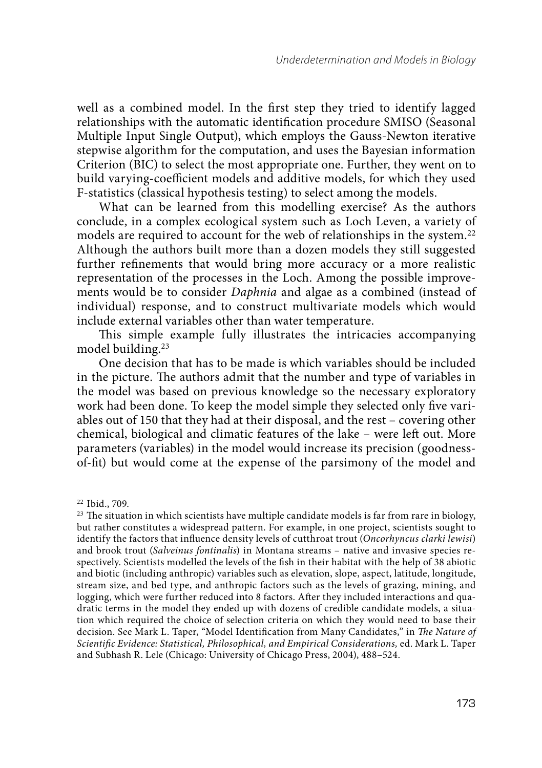well as a combined model. In the first step they tried to identify lagged relationships with the automatic identification procedure SMISO (Seasonal Multiple Input Single Output), which employs the Gauss-Newton iterative stepwise algorithm for the computation, and uses the Bayesian information Criterion (BIC) to select the most appropriate one. Further, they went on to build varying-coefficient models and additive models, for which they used F-statistics (classical hypothesis testing) to select among the models.

What can be learned from this modelling exercise? As the authors conclude, in a complex ecological system such as Loch Leven, a variety of models are required to account for the web of relationships in the system. 22 Although the authors built more than a dozen models they still suggested further refinements that would bring more accuracy or a more realistic representation of the processes in the Loch. Among the possible improvements would be to consider *Daphnia* and algae as a combined (instead of individual) response, and to construct multivariate models which would include external variables other than water temperature.

This simple example fully illustrates the intricacies accompanying model building.23

One decision that has to be made is which variables should be included in the picture. The authors admit that the number and type of variables in the model was based on previous knowledge so the necessary exploratory work had been done. To keep the model simple they selected only five variables out of 150 that they had at their disposal, and the rest – covering other chemical, biological and climatic features of the lake – were left out. More parameters (variables) in the model would increase its precision (goodnessof-fit) but would come at the expense of the parsimony of the model and

<sup>23</sup> The situation in which scientists have multiple candidate models is far from rare in biology, but rather constitutes a widespread pattern. For example, in one project, scientists sought to identify the factors that influence density levels of cutthroat trout (Oncorhyncus clarki lewisi) and brook trout (Salveinus fontinalis) in Montana streams – native and invasive species respectively. Scientists modelled the levels of the fish in their habitat with the help of 38 abiotic and biotic (including anthropic) variables such as elevation, slope, aspect, latitude, longitude, stream size, and bed type, and anthropic factors such as the levels of grazing, mining, and logging, which were further reduced into 8 factors. After they included interactions and quadratic terms in the model they ended up with dozens of credible candidate models, a situation which required the choice of selection criteria on which they would need to base their decision. See Mark L. Taper, "Model Identification from Many Candidates," in The Nature of Scientific Evidence: Statistical, Philosophical, and Empirical Considerations, ed. Mark L. Taper and Subhash R. Lele (Chicago: University of Chicago Press, 2004), 488–524.

<sup>22</sup> Ibid., 709.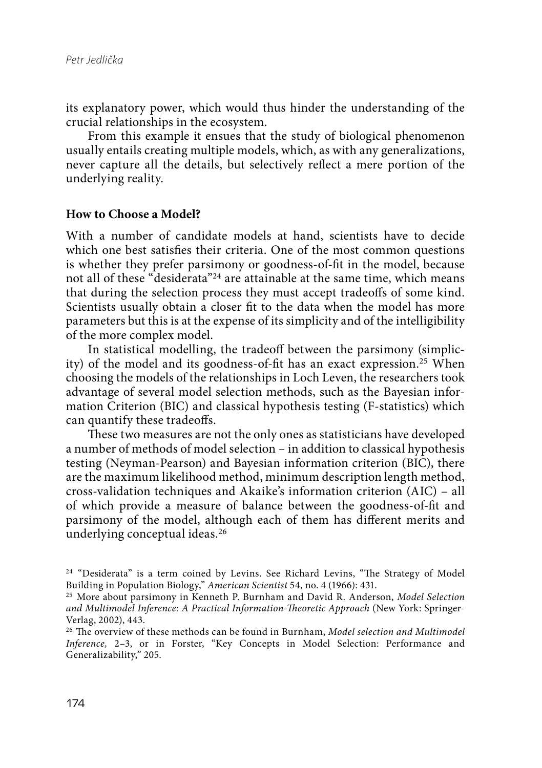its explanatory power, which would thus hinder the understanding of the crucial relationships in the ecosystem.

From this example it ensues that the study of biological phenomenon usually entails creating multiple models, which, as with any generalizations, never capture all the details, but selectively reflect a mere portion of the underlying reality.

#### **How to Choose a Model?**

With a number of candidate models at hand, scientists have to decide which one best satisfies their criteria. One of the most common questions is whether they prefer parsimony or goodness-of-fit in the model, because not all of these "desiderata"24 are attainable at the same time, which means that during the selection process they must accept tradeoffs of some kind. Scientists usually obtain a closer fit to the data when the model has more parameters but this is at the expense of its simplicity and of the intelligibility of the more complex model.

In statistical modelling, the tradeoff between the parsimony (simplicity) of the model and its goodness-of-fit has an exact expression.<sup>25</sup> When choosing the models of the relationships in Loch Leven, the researchers took advantage of several model selection methods, such as the Bayesian information Criterion (BIC) and classical hypothesis testing (F-statistics) which can quantify these tradeoffs.

These two measures are not the only ones as statisticians have developed a number of methods of model selection – in addition to classical hypothesis testing (Neyman-Pearson) and Bayesian information criterion (BIC), there are the maximum likelihood method, minimum description length method, cross-validation techniques and Akaike's information criterion (AIC) – all of which provide a measure of balance between the goodness-of-fi t and parsimony of the model, although each of them has different merits and underlying conceptual ideas. 26

<sup>&</sup>lt;sup>24</sup> "Desiderata" is a term coined by Levins. See Richard Levins, "The Strategy of Model Building in Population Biology," American Scientist 54, no. 4 (1966): 431.

<sup>&</sup>lt;sup>25</sup> More about parsimony in Kenneth P. Burnham and David R. Anderson, Model Selection and Multimodel Inference: A Practical Information-Theoretic Approach (New York: Springer-Verlag, 2002), 443.

<sup>&</sup>lt;sup>26</sup> The overview of these methods can be found in Burnham, Model selection and Multimodel Inference, 2–3, or in Forster, "Key Concepts in Model Selection: Performance and Generalizability," 205.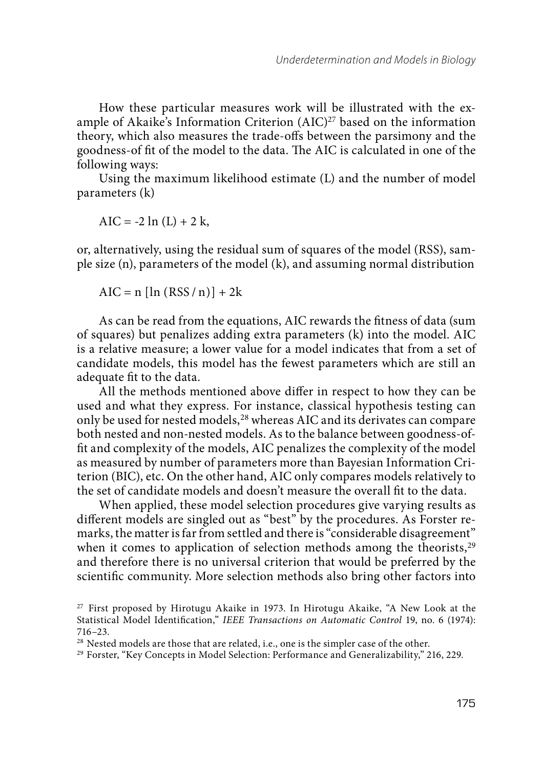How these particular measures work will be illustrated with the example of Akaike's Information Criterion (AIC)<sup>27</sup> based on the information theory, which also measures the trade-offs between the parsimony and the goodness-of fit of the model to the data. The AIC is calculated in one of the following ways:

Using the maximum likelihood estimate (L) and the number of model parameters (k)

 $AIC = -2 \ln(L) + 2 k$ ,

or, alternatively, using the residual sum of squares of the model (RSS), sample size (n), parameters of the model (k), and assuming normal distribution

$$
AIC = n [ln (RSS/n)] + 2k
$$

As can be read from the equations, AIC rewards the fitness of data (sum of squares) but penalizes adding extra parameters (k) into the model. AIC is a relative measure; a lower value for a model indicates that from a set of candidate models, this model has the fewest parameters which are still an adequate fit to the data.

All the methods mentioned above differ in respect to how they can be used and what they express. For instance, classical hypothesis testing can only be used for nested models,<sup>28</sup> whereas AIC and its derivates can compare both nested and non-nested models. As to the balance between goodness-offit and complexity of the models, AIC penalizes the complexity of the model as measured by number of parameters more than Bayesian Information Criterion (BIC), etc. On the other hand, AIC only compares models relatively to the set of candidate models and doesn't measure the overall fit to the data.

When applied, these model selection procedures give varying results as different models are singled out as "best" by the procedures. As Forster remarks, the matter is far from settled and there is "considerable disagreement" when it comes to application of selection methods among the theorists,<sup>29</sup> and therefore there is no universal criterion that would be preferred by the scientific community. More selection methods also bring other factors into

<sup>27</sup> First proposed by Hirotugu Akaike in 1973. In Hirotugu Akaike, "A New Look at the Statistical Model Identification," IEEE Transactions on Automatic Control 19, no. 6 (1974): 716–23.

<sup>&</sup>lt;sup>28</sup> Nested models are those that are related, i.e., one is the simpler case of the other.

<sup>29</sup> Forster, "Key Concepts in Model Selection: Performance and Generalizability," 216, 229.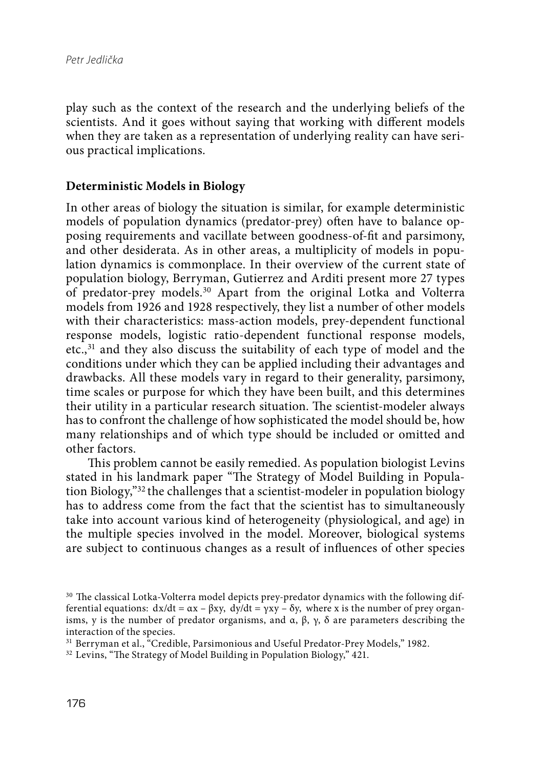play such as the context of the research and the underlying beliefs of the scientists. And it goes without saying that working with different models when they are taken as a representation of underlying reality can have serious practical implications.

### **Deterministic Models in Biology**

In other areas of biology the situation is similar, for example deterministic models of population dynamics (predator-prey) often have to balance opposing requirements and vacillate between goodness-of-fit and parsimony, and other desiderata. As in other areas, a multiplicity of models in population dynamics is commonplace. In their overview of the current state of population biology, Berryman, Gutierrez and Arditi present more 27 types of predator-prey models.30 Apart from the original Lotka and Volterra models from 1926 and 1928 respectively, they list a number of other models with their characteristics: mass-action models, prey-dependent functional response models, logistic ratio-dependent functional response models, etc., <sup>31</sup> and they also discuss the suitability of each type of model and the conditions under which they can be applied including their advantages and drawbacks. All these models vary in regard to their generality, parsimony, time scales or purpose for which they have been built, and this determines their utility in a particular research situation. The scientist-modeler always has to confront the challenge of how sophisticated the model should be, how many relationships and of which type should be included or omitted and other factors.

This problem cannot be easily remedied. As population biologist Levins stated in his landmark paper "The Strategy of Model Building in Population Biology,"32 the challenges that a scientist-modeler in population biology has to address come from the fact that the scientist has to simultaneously take into account various kind of heterogeneity (physiological, and age) in the multiple species involved in the model. Moreover, biological systems are subject to continuous changes as a result of influences of other species

<sup>&</sup>lt;sup>30</sup> The classical Lotka-Volterra model depicts prey-predator dynamics with the following differential equations: dx/dt = αx – βxy, dy/dt = γxy – δy, where x is the number of prey organisms, y is the number of predator organisms, and  $\alpha$ ,  $\beta$ ,  $\gamma$ , δ are parameters describing the interaction of the species.

<sup>&</sup>lt;sup>31</sup> Berryman et al., "Credible, Parsimonious and Useful Predator-Prey Models," 1982.

<sup>&</sup>lt;sup>32</sup> Levins, "The Strategy of Model Building in Population Biology," 421.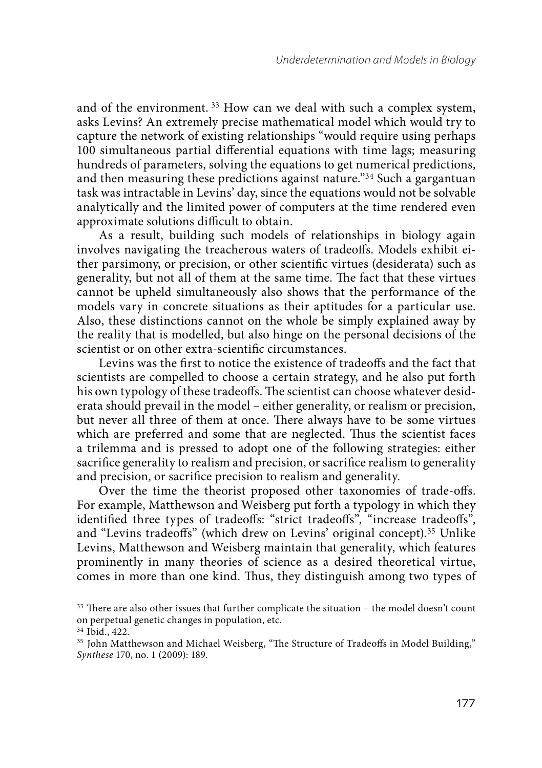and of the environment. 33 How can we deal with such a complex system, asks Levins? An extremely precise mathematical model which would try to capture the network of existing relationships "would require using perhaps 100 simultaneous partial differential equations with time lags; measuring hundreds of parameters, solving the equations to get numerical predictions, and then measuring these predictions against nature."34 Such a gargantuan task was intractable in Levins' day, since the equations would not be solvable analytically and the limited power of computers at the time rendered even approximate solutions difficult to obtain.

As a result, building such models of relationships in biology again involves navigating the treacherous waters of tradeoffs. Models exhibit either parsimony, or precision, or other scientific virtues (desiderata) such as generality, but not all of them at the same time. The fact that these virtues cannot be upheld simultaneously also shows that the performance of the models vary in concrete situations as their aptitudes for a particular use. Also, these distinctions cannot on the whole be simply explained away by the reality that is modelled, but also hinge on the personal decisions of the scientist or on other extra-scientific circumstances

Levins was the first to notice the existence of tradeoffs and the fact that scientists are compelled to choose a certain strategy, and he also put forth his own typology of these tradeoffs. The scientist can choose whatever desiderata should prevail in the model – either generality, or realism or precision, but never all three of them at once. There always have to be some virtues which are preferred and some that are neglected. Thus the scientist faces a trilemma and is pressed to adopt one of the following strategies: either sacrifice generality to realism and precision, or sacrifice realism to generality and precision, or sacrifice precision to realism and generality.

Over the time the theorist proposed other taxonomies of trade-offs. For example, Matthewson and Weisberg put forth a typology in which they identified three types of tradeoffs: "strict tradeoffs", "increase tradeoffs", and "Levins tradeoffs" (which drew on Levins' original concept).<sup>35</sup> Unlike Levins, Matthewson and Weisberg maintain that generality, which features prominently in many theories of science as a desired theoretical virtue, comes in more than one kind. Thus, they distinguish among two types of

<sup>&</sup>lt;sup>33</sup> There are also other issues that further complicate the situation – the model doesn't count on perpetual genetic changes in population, etc.

<sup>34</sup> Ibid., 422.

<sup>&</sup>lt;sup>35</sup> John Matthewson and Michael Weisberg, "The Structure of Tradeoffs in Model Building," Synthese 170, no. 1 (2009): 189.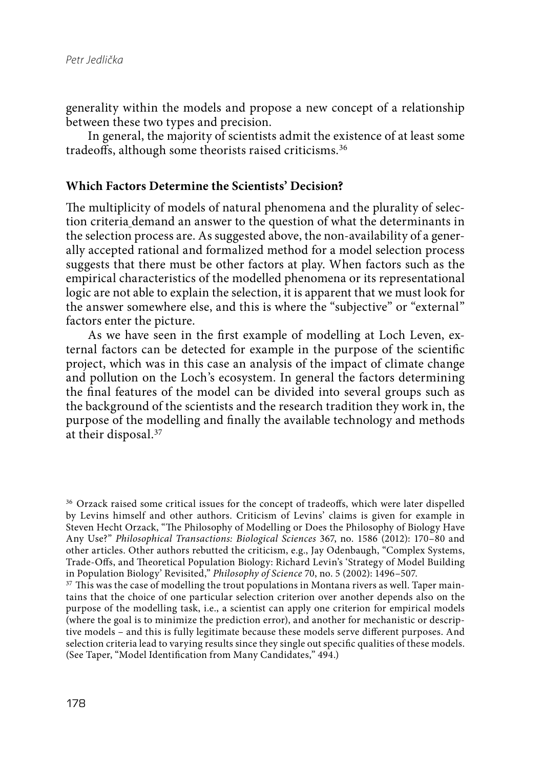generality within the models and propose a new concept of a relationship between these two types and precision.

In general, the majority of scientists admit the existence of at least some tradeoffs, although some theorists raised criticisms.<sup>36</sup>

#### **Which Factors Determine the Scientists' Decision?**

The multiplicity of models of natural phenomena and the plurality of selection criteria demand an answer to the question of what the determinants in the selection process are. As suggested above, the non-availability of a generally accepted rational and formalized method for a model selection process suggests that there must be other factors at play. When factors such as the empirical characteristics of the modelled phenomena or its representational logic are not able to explain the selection, it is apparent that we must look for the answer somewhere else, and this is where the "subjective" or "external" factors enter the picture.

As we have seen in the first example of modelling at Loch Leven, external factors can be detected for example in the purpose of the scientific project, which was in this case an analysis of the impact of climate change and pollution on the Loch's ecosystem. In general the factors determining the final features of the model can be divided into several groups such as the background of the scientists and the research tradition they work in, the purpose of the modelling and finally the available technology and methods at their disposal.37

<sup>&</sup>lt;sup>36</sup> Orzack raised some critical issues for the concept of tradeoffs, which were later dispelled by Levins himself and other authors. Criticism of Levins' claims is given for example in Steven Hecht Orzack, "The Philosophy of Modelling or Does the Philosophy of Biology Have Any Use?" Philosophical Transactions: Biological Sciences 367, no. 1586 (2012): 170–80 and other articles. Other authors rebutted the criticism, e.g., Jay Odenbaugh, "Complex Systems, Trade-Offs, and Theoretical Population Biology: Richard Levin's 'Strategy of Model Building in Population Biology' Revisited," Philosophy of Science 70, no. 5 (2002): 1496–507.

<sup>&</sup>lt;sup>37</sup> This was the case of modelling the trout populations in Montana rivers as well. Taper maintains that the choice of one particular selection criterion over another depends also on the purpose of the modelling task, i.e., a scientist can apply one criterion for empirical models (where the goal is to minimize the prediction error), and another for mechanistic or descriptive models – and this is fully legitimate because these models serve different purposes. And selection criteria lead to varying results since they single out specific qualities of these models. (See Taper, "Model Identification from Many Candidates," 494.)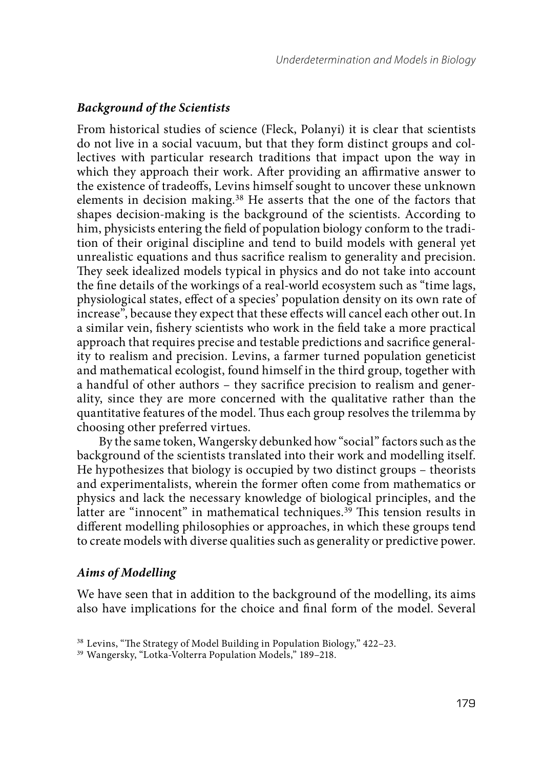## *Background of the Scientists*

From historical studies of science (Fleck, Polanyi) it is clear that scientists do not live in a social vacuum, but that they form distinct groups and collectives with particular research traditions that impact upon the way in which they approach their work. After providing an affirmative answer to the existence of tradeoffs, Levins himself sought to uncover these unknown elements in decision making. 38 He asserts that the one of the factors that shapes decision-making is the background of the scientists. According to him, physicists entering the field of population biology conform to the tradition of their original discipline and tend to build models with general yet unrealistic equations and thus sacrifice realism to generality and precision. They seek idealized models typical in physics and do not take into account the fine details of the workings of a real-world ecosystem such as "time lags, physiological states, effect of a species' population density on its own rate of increase", because they expect that these effects will cancel each other out. In a similar vein, fishery scientists who work in the field take a more practical approach that requires precise and testable predictions and sacrifice generality to realism and precision. Levins, a farmer turned population geneticist and mathematical ecologist, found himself in the third group, together with a handful of other authors – they sacrifice precision to realism and generality, since they are more concerned with the qualitative rather than the quantitative features of the model. Thus each group resolves the trilemma by choosing other preferred virtues.

By the same token, Wangersky debunked how "social" factors such as the background of the scientists translated into their work and modelling itself. He hypothesizes that biology is occupied by two distinct groups – theorists and experimentalists, wherein the former often come from mathematics or physics and lack the necessary knowledge of biological principles, and the latter are "innocent" in mathematical techniques.<sup>39</sup> This tension results in different modelling philosophies or approaches, in which these groups tend to create models with diverse qualities such as generality or predictive power.

#### *Aims of Modelling*

We have seen that in addition to the background of the modelling, its aims also have implications for the choice and final form of the model. Several

<sup>&</sup>lt;sup>38</sup> Levins, "The Strategy of Model Building in Population Biology," 422-23.

<sup>39</sup> Wangersky, "Lotka-Volterra Population Models," 189–218.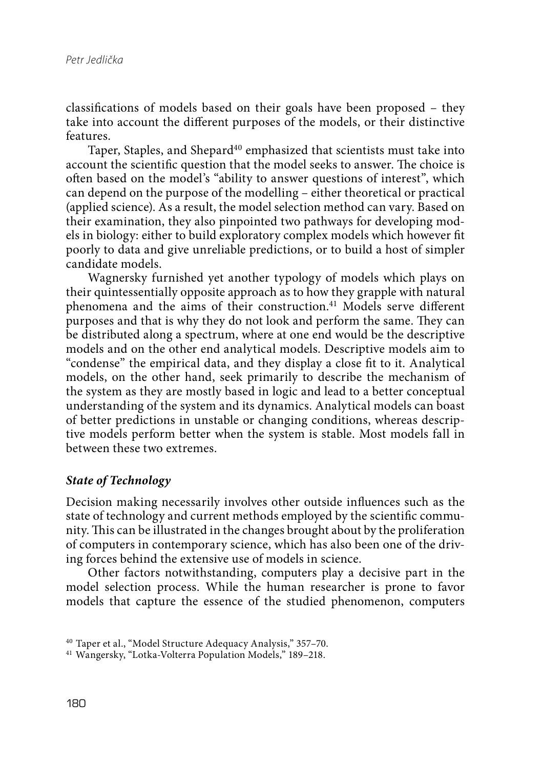classifications of models based on their goals have been proposed – they take into account the different purposes of the models, or their distinctive features.

Taper, Staples, and Shepard<sup>40</sup> emphasized that scientists must take into account the scientific question that the model seeks to answer. The choice is often based on the model's "ability to answer questions of interest", which can depend on the purpose of the modelling – either theoretical or practical (applied science). As a result, the model selection method can vary. Based on their examination, they also pinpointed two pathways for developing models in biology: either to build exploratory complex models which however fit poorly to data and give unreliable predictions, or to build a host of simpler candidate models.

Wagnersky furnished yet another typology of models which plays on their quintessentially opposite approach as to how they grapple with natural phenomena and the aims of their construction.<sup>41</sup> Models serve different purposes and that is why they do not look and perform the same. They can be distributed along a spectrum, where at one end would be the descriptive models and on the other end analytical models. Descriptive models aim to "condense" the empirical data, and they display a close fit to it. Analytical models, on the other hand, seek primarily to describe the mechanism of the system as they are mostly based in logic and lead to a better conceptual understanding of the system and its dynamics. Analytical models can boast of better predictions in unstable or changing conditions, whereas descriptive models perform better when the system is stable. Most models fall in between these two extremes.

#### *State of Technology*

Decision making necessarily involves other outside influences such as the state of technology and current methods employed by the scientific community. This can be illustrated in the changes brought about by the proliferation of computers in contemporary science, which has also been one of the driving forces behind the extensive use of models in science.

Other factors notwithstanding, computers play a decisive part in the model selection process. While the human researcher is prone to favor models that capture the essence of the studied phenomenon, computers

<sup>40</sup> Taper et al., "Model Structure Adequacy Analysis," 357–70.

<sup>41</sup> Wangersky, "Lotka-Volterra Population Models," 189–218.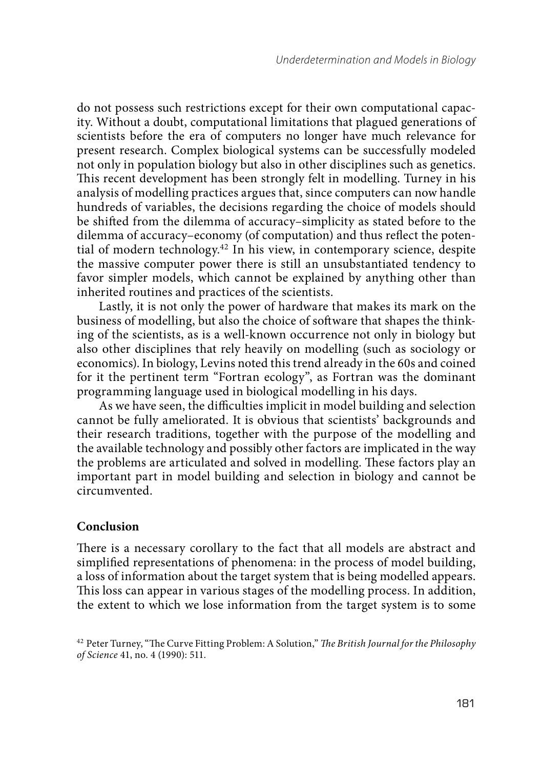do not possess such restrictions except for their own computational capacity. Without a doubt, computational limitations that plagued generations of scientists before the era of computers no longer have much relevance for present research. Complex biological systems can be successfully modeled not only in population biology but also in other disciplines such as genetics. This recent development has been strongly felt in modelling. Turney in his analysis of modelling practices argues that, since computers can now handle hundreds of variables, the decisions regarding the choice of models should be shifted from the dilemma of accuracy–simplicity as stated before to the dilemma of accuracy-economy (of computation) and thus reflect the potential of modern technology.42 In his view, in contemporary science, despite the massive computer power there is still an unsubstantiated tendency to favor simpler models, which cannot be explained by anything other than inherited routines and practices of the scientists.

Lastly, it is not only the power of hardware that makes its mark on the business of modelling, but also the choice of soft ware that shapes the thinking of the scientists, as is a well-known occurrence not only in biology but also other disciplines that rely heavily on modelling (such as sociology or economics). In biology, Levins noted this trend already in the 60s and coined for it the pertinent term "Fortran ecology", as Fortran was the dominant programming language used in biological modelling in his days.

As we have seen, the difficulties implicit in model building and selection cannot be fully ameliorated. It is obvious that scientists' backgrounds and their research traditions, together with the purpose of the modelling and the available technology and possibly other factors are implicated in the way the problems are articulated and solved in modelling. These factors play an important part in model building and selection in biology and cannot be circumvented.

#### **Conclusion**

There is a necessary corollary to the fact that all models are abstract and simplified representations of phenomena: in the process of model building, a loss of information about the target system that is being modelled appears. This loss can appear in various stages of the modelling process. In addition, the extent to which we lose information from the target system is to some

<sup>&</sup>lt;sup>42</sup> Peter Turney, "The Curve Fitting Problem: A Solution," The British Journal for the Philosophy of Science 41, no. 4 (1990): 511.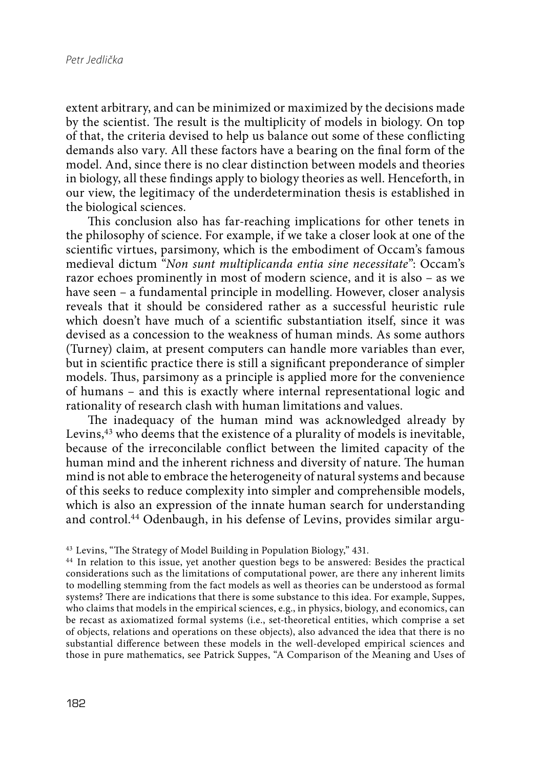extent arbitrary, and can be minimized or maximized by the decisions made by the scientist. The result is the multiplicity of models in biology. On top of that, the criteria devised to help us balance out some of these conflicting demands also vary. All these factors have a bearing on the final form of the model. And, since there is no clear distinction between models and theories in biology, all these findings apply to biology theories as well. Henceforth, in our view, the legitimacy of the underdetermination thesis is established in the biological sciences.

This conclusion also has far-reaching implications for other tenets in the philosophy of science. For example, if we take a closer look at one of the scientific virtues, parsimony, which is the embodiment of Occam's famous medieval dictum "Non sunt multiplicanda entia sine necessitate": Occam's razor echoes prominently in most of modern science, and it is also – as we have seen – a fundamental principle in modelling. However, closer analysis reveals that it should be considered rather as a successful heuristic rule which doesn't have much of a scientific substantiation itself, since it was devised as a concession to the weakness of human minds. As some authors (Turney) claim, at present computers can handle more variables than ever, but in scientific practice there is still a significant preponderance of simpler models. Thus, parsimony as a principle is applied more for the convenience of humans – and this is exactly where internal representational logic and rationality of research clash with human limitations and values.

The inadequacy of the human mind was acknowledged already by Levins, 43 who deems that the existence of a plurality of models is inevitable, because of the irreconcilable conflict between the limited capacity of the human mind and the inherent richness and diversity of nature. The human mind is not able to embrace the heterogeneity of natural systems and because of this seeks to reduce complexity into simpler and comprehensible models, which is also an expression of the innate human search for understanding and control. 44 Odenbaugh, in his defense of Levins, provides similar argu-

<sup>&</sup>lt;sup>43</sup> Levins, "The Strategy of Model Building in Population Biology," 431.

<sup>44</sup> In relation to this issue, yet another question begs to be answered: Besides the practical considerations such as the limitations of computational power, are there any inherent limits to modelling stemming from the fact models as well as theories can be understood as formal systems? There are indications that there is some substance to this idea. For example, Suppes, who claims that models in the empirical sciences, e.g., in physics, biology, and economics, can be recast as axiomatized formal systems (i.e., set-theoretical entities, which comprise a set of objects, relations and operations on these objects), also advanced the idea that there is no substantial difference between these models in the well-developed empirical sciences and those in pure mathematics, see Patrick Suppes, "A Comparison of the Meaning and Uses of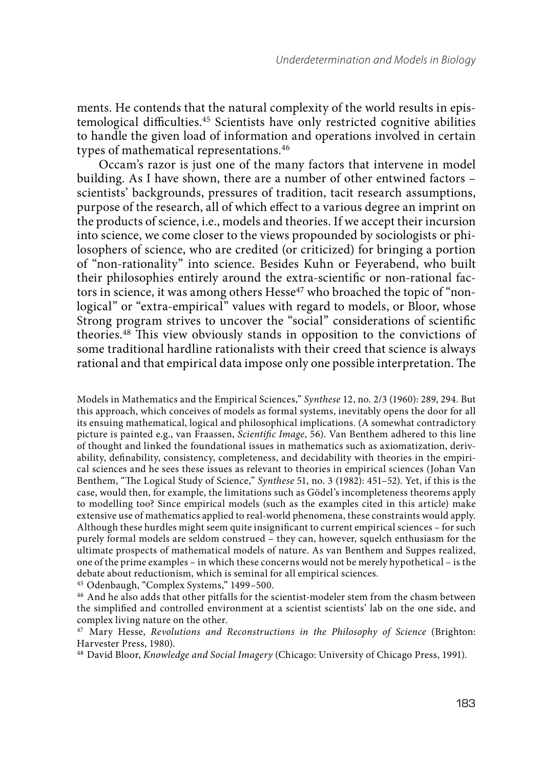ments. He contends that the natural complexity of the world results in epistemological difficulties.<sup>45</sup> Scientists have only restricted cognitive abilities to handle the given load of information and operations involved in certain types of mathematical representations. 46

Occam's razor is just one of the many factors that intervene in model building. As I have shown, there are a number of other entwined factors – scientists' backgrounds, pressures of tradition, tacit research assumptions, purpose of the research, all of which effect to a various degree an imprint on the products of science, i.e., models and theories. If we accept their incursion into science, we come closer to the views propounded by sociologists or philosophers of science, who are credited (or criticized) for bringing a portion of "non-rationality" into science. Besides Kuhn or Feyerabend, who built their philosophies entirely around the extra-scientific or non-rational factors in science, it was among others Hesse<sup>47</sup> who broached the topic of "nonlogical" or "extra-empirical" values with regard to models, or Bloor, whose Strong program strives to uncover the "social" considerations of scientific theories.<sup>48</sup> This view obviously stands in opposition to the convictions of some traditional hardline rationalists with their creed that science is always rational and that empirical data impose only one possible interpretation. The

Models in Mathematics and the Empirical Sciences," Synthese 12, no. 2/3 (1960): 289, 294. But this approach, which conceives of models as formal systems, inevitably opens the door for all its ensuing mathematical, logical and philosophical implications. (A somewhat contradictory picture is painted e.g., van Fraassen, Scientific Image, 56). Van Benthem adhered to this line of thought and linked the foundational issues in mathematics such as axiomatization, derivability, definability, consistency, completeness, and decidability with theories in the empirical sciences and he sees these issues as relevant to theories in empirical sciences (Johan Van Benthem, "The Logical Study of Science," Synthese 51, no. 3 (1982): 451-52). Yet, if this is the case, would then, for example, the limitations such as Gödel's incompleteness theorems apply to modelling too? Since empirical models (such as the examples cited in this article) make extensive use of mathematics applied to real-world phenomena, these constraints would apply. Although these hurdles might seem quite insignificant to current empirical sciences – for such purely formal models are seldom construed – they can, however, squelch enthusiasm for the ultimate prospects of mathematical models of nature. As van Benthem and Suppes realized, one of the prime examples – in which these concerns would not be merely hypothetical – is the debate about reductionism, which is seminal for all empirical sciences.

45 Odenbaugh, "Complex Systems," 1499–500.

46 And he also adds that other pitfalls for the scientist-modeler stem from the chasm between the simplified and controlled environment at a scientist scientists' lab on the one side, and complex living nature on the other.

<sup>47</sup> Mary Hesse, Revolutions and Reconstructions in the Philosophy of Science (Brighton: Harvester Press, 1980).

<sup>48</sup> David Bloor, Knowledge and Social Imagery (Chicago: University of Chicago Press, 1991).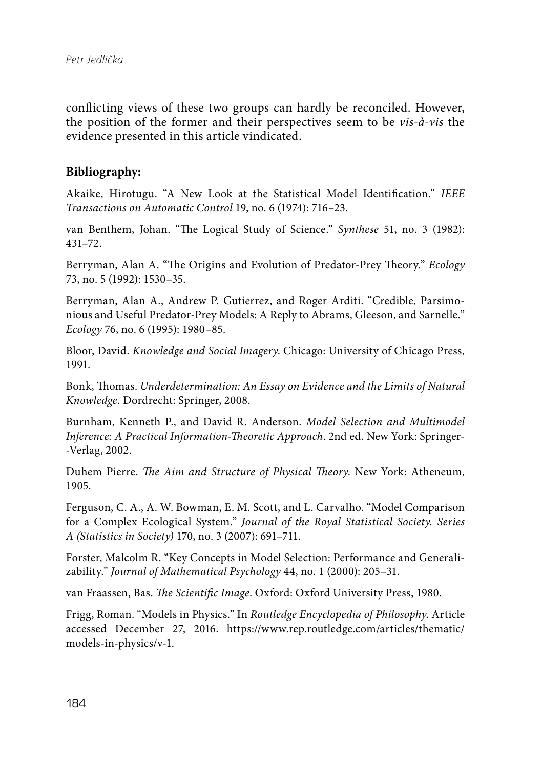conflicting views of these two groups can hardly be reconciled. However, the position of the former and their perspectives seem to be vis-à-vis the evidence presented in this article vindicated.

# **Bibliography:**

Akaike, Hirotugu. "A New Look at the Statistical Model Identification." IEEE Transactions on Automatic Control 19, no. 6 (1974): 716–23.

van Benthem, Johan. "The Logical Study of Science." Synthese 51, no. 3 (1982): 431–72.

Berryman, Alan A. "The Origins and Evolution of Predator-Prey Theory." Ecology 73, no. 5 (1992): 1530–35.

Berryman, Alan A., Andrew P. Gutierrez, and Roger Arditi. "Credible, Parsimonious and Useful Predator-Prey Models: A Reply to Abrams, Gleeson, and Sarnelle." Ecology 76, no. 6 (1995): 1980–85.

Bloor, David. Knowledge and Social Imagery. Chicago: University of Chicago Press, 1991.

Bonk, Thomas. Underdetermination: An Essay on Evidence and the Limits of Natural Knowledge. Dordrecht: Springer, 2008.

Burnham, Kenneth P., and David R. Anderson. Model Selection and Multimodel Inference: A Practical Information-Theoretic Approach. 2nd ed. New York: Springer--Verlag, 2002.

Duhem Pierre. The Aim and Structure of Physical Theory. New York: Atheneum, 1905.

Ferguson, C. A., A. W. Bowman, E. M. Scott, and L. Carvalho. "Model Comparison for a Complex Ecological System." Journal of the Royal Statistical Society. Series A (Statistics in Society) 170, no. 3 (2007): 691–711.

Forster, Malcolm R. "Key Concepts in Model Selection: Performance and Generalizability." Journal of Mathematical Psychology 44, no. 1 (2000): 205–31.

van Fraassen, Bas. The Scientific Image. Oxford: Oxford University Press, 1980.

Frigg, Roman. "Models in Physics." In Routledge Encyclopedia of Philosophy. Article accessed December 27, 2016. https://www.rep.routledge.com/articles/thematic/ models-in-physics/v-1.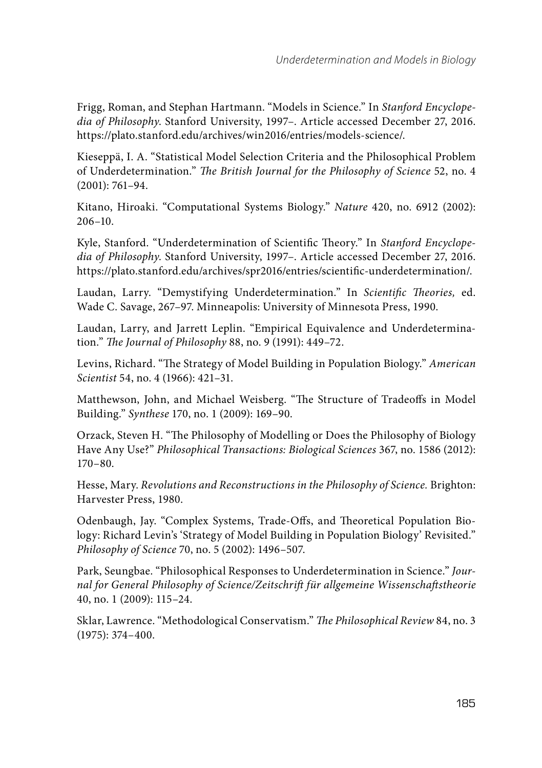Frigg, Roman, and Stephan Hartmann. "Models in Science." In Stanford Encyclopedia of Philosophy. Stanford University, 1997–. Article accessed December 27, 2016. https://plato.stanford.edu/archives/win2016/entries/models-science/.

Kieseppä, I. A. "Statistical Model Selection Criteria and the Philosophical Problem of Underdetermination." The British Journal for the Philosophy of Science 52, no. 4 (2001): 761–94.

Kitano, Hiroaki. "Computational Systems Biology." Nature 420, no. 6912 (2002): 206–10.

Kyle, Stanford. "Underdetermination of Scientific Theory." In Stanford Encyclopedia of Philosophy. Stanford University, 1997–. Article accessed December 27, 2016. https://plato.stanford.edu/archives/spr2016/entries/scientific-underdetermination/.

Laudan, Larry. "Demystifying Underdetermination." In Scientific Theories, ed. Wade C. Savage, 267–97. Minneapolis: University of Minnesota Press, 1990.

Laudan, Larry, and Jarrett Leplin. "Empirical Equivalence and Underdetermination." The Journal of Philosophy 88, no. 9 (1991):  $449-72$ .

Levins, Richard. "The Strategy of Model Building in Population Biology." American Scientist 54, no. 4 (1966): 421–31.

Matthewson, John, and Michael Weisberg. "The Structure of Tradeoffs in Model Building." Synthese 170, no. 1 (2009): 169–90.

Orzack, Steven H. "The Philosophy of Modelling or Does the Philosophy of Biology Have Any Use?" Philosophical Transactions: Biological Sciences 367, no. 1586 (2012): 170–80.

Hesse, Mary. Revolutions and Reconstructions in the Philosophy of Science. Brighton: Harvester Press, 1980.

Odenbaugh, Jay. "Complex Systems, Trade-Offs, and Theoretical Population Biology: Richard Levin's 'Strategy of Model Building in Population Biology' Revisited." Philosophy of Science 70, no. 5 (2002): 1496–507.

Park, Seungbae. "Philosophical Responses to Underdetermination in Science." Journal for General Philosophy of Science/Zeitschrift für allgemeine Wissenschaftstheorie 40, no. 1 (2009): 115–24.

Sklar, Lawrence. "Methodological Conservatism." The Philosophical Review 84, no. 3 (1975): 374–400.